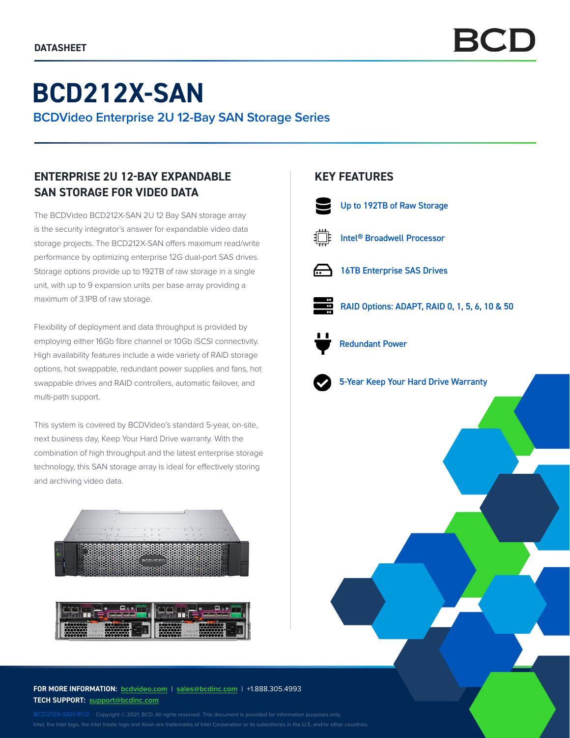# **BCD212X-SAN**

**BCDVideo Enterprise 2U 12-Bay SAN Storage Series**

# **ENTERPRISE 2U 12-BAY EXPANDABLE SAN STORAGE FOR VIDEO DATA**

The BCDVideo BCD212X-SAN 2U 12 Bay SAN storage array is the security integrator's answer for expandable video data storage projects. The BCD212X-SAN offers maximum read/write performance by optimizing enterprise 12G dual-port SAS drives. Storage options provide up to 192TB of raw storage in a single unit, with up to 9 expansion units per base array providing a maximum of 3.1PB of raw storage.

Flexibility of deployment and data throughput is provided by employing either 16Gb fibre channel or 10Gb iSCSI connectivity. High availability features include a wide variety of RAID storage options, hot swappable, redundant power supplies and fans, hot swappable drives and RAID controllers, automatic failover, and multi-path support.

This system is covered by BCDVideo's standard 5-year, on-site, next business day, Keep Your Hard Drive warranty. With the combination of high throughput and the latest enterprise storage technology, this SAN storage array is ideal for effectively storing and archiving video data.





### **FOR MORE INFORMATION: bcdvideo[.com](http://bcdvideo.com)** | **[sales@bcdinc.com](mailto:sales%40bcdinc.com?subject=)** | +1.888.305.4993 **TECH SUPPORT: [support@bcdinc.com](mailto:support%40bcdinc.com?subject=)**

Intel, the Intel logo, the Intel Inside logo and Xeon are trademarks of Intel Corporation or its subsidiaries in the U.S. and/or other countries.

## **KEY FEATURES**



Up to 192TB of Raw Storage



Intel® Broadwell Processor



16TB Enterprise SAS Drives



RAID Options: ADAPT, RAID 0, 1, 5, 6, 10 & 50



Redundant Power



5-Year Keep Your Hard Drive Warranty